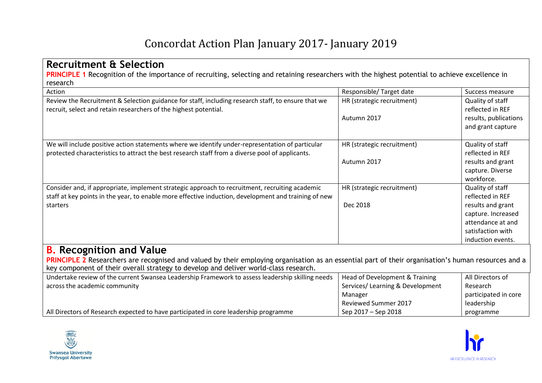## Concordat Action Plan January 2017- January 2019

| research<br>Action                                                                                                                                                                                                 | Responsible/Target date                   | Success measure                                                                                                                                |
|--------------------------------------------------------------------------------------------------------------------------------------------------------------------------------------------------------------------|-------------------------------------------|------------------------------------------------------------------------------------------------------------------------------------------------|
| Review the Recruitment & Selection guidance for staff, including research staff, to ensure that we<br>recruit, select and retain researchers of the highest potential.                                             | HR (strategic recruitment)<br>Autumn 2017 | Quality of staff<br>reflected in REF<br>results, publications<br>and grant capture                                                             |
| We will include positive action statements where we identify under-representation of particular<br>protected characteristics to attract the best research staff from a diverse pool of applicants.                 | HR (strategic recruitment)<br>Autumn 2017 | Quality of staff<br>reflected in REF<br>results and grant<br>capture. Diverse<br>workforce.                                                    |
| Consider and, if appropriate, implement strategic approach to recruitment, recruiting academic<br>staff at key points in the year, to enable more effective induction, development and training of new<br>starters | HR (strategic recruitment)<br>Dec 2018    | Quality of staff<br>reflected in REF<br>results and grant<br>capture. Increased<br>attendance at and<br>satisfaction with<br>induction events. |

**PRINCIPLE 2** Researchers are recognised and valued by their employing organisation as an essential part of their organisation's human resources and a key component of their overall strategy to develop and deliver world-class research.

| Undertake review of the current Swansea Leadership Framework to assess leadership skilling needs | Head of Development & Training   | All Directors of     |
|--------------------------------------------------------------------------------------------------|----------------------------------|----------------------|
| across the academic community                                                                    | Services/ Learning & Development | Research             |
|                                                                                                  | Manager                          | participated in core |
|                                                                                                  | Reviewed Summer 2017             | leadership           |
| All Directors of Research expected to have participated in core leadership programme             | Sep 2017 – Sep 2018              | programme            |



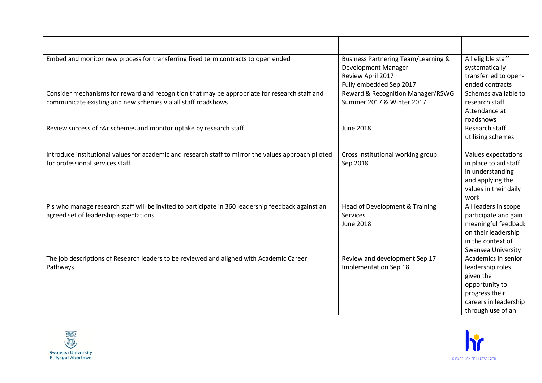| Embed and monitor new process for transferring fixed term contracts to open ended                    | <b>Business Partnering Team/Learning &amp;</b> | All eligible staff    |
|------------------------------------------------------------------------------------------------------|------------------------------------------------|-----------------------|
|                                                                                                      | Development Manager                            | systematically        |
|                                                                                                      | Review April 2017                              | transferred to open-  |
|                                                                                                      | Fully embedded Sep 2017                        | ended contracts       |
| Consider mechanisms for reward and recognition that may be appropriate for research staff and        | Reward & Recognition Manager/RSWG              | Schemes available to  |
| communicate existing and new schemes via all staff roadshows                                         | Summer 2017 & Winter 2017                      | research staff        |
|                                                                                                      |                                                | Attendance at         |
|                                                                                                      |                                                | roadshows             |
| Review success of r&r schemes and monitor uptake by research staff                                   | <b>June 2018</b>                               | Research staff        |
|                                                                                                      |                                                | utilising schemes     |
|                                                                                                      |                                                |                       |
| Introduce institutional values for academic and research staff to mirror the values approach piloted | Cross institutional working group              | Values expectations   |
| for professional services staff                                                                      | Sep 2018                                       | in place to aid staff |
|                                                                                                      |                                                | in understanding      |
|                                                                                                      |                                                | and applying the      |
|                                                                                                      |                                                | values in their daily |
|                                                                                                      |                                                | work                  |
| PIs who manage research staff will be invited to participate in 360 leadership feedback against an   | Head of Development & Training                 | All leaders in scope  |
| agreed set of leadership expectations                                                                | Services                                       | participate and gain  |
|                                                                                                      | <b>June 2018</b>                               | meaningful feedback   |
|                                                                                                      |                                                | on their leadership   |
|                                                                                                      |                                                | in the context of     |
|                                                                                                      |                                                | Swansea University    |
| The job descriptions of Research leaders to be reviewed and aligned with Academic Career             | Review and development Sep 17                  | Academics in senior   |
| Pathways                                                                                             | Implementation Sep 18                          | leadership roles      |
|                                                                                                      |                                                | given the             |
|                                                                                                      |                                                | opportunity to        |
|                                                                                                      |                                                | progress their        |
|                                                                                                      |                                                | careers in leadership |
|                                                                                                      |                                                | through use of an     |



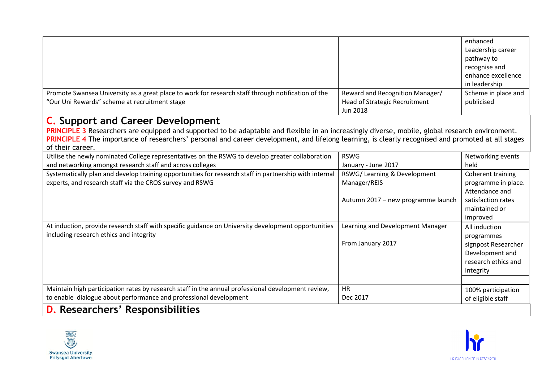|                                                                                                    |                                      | enhanced            |
|----------------------------------------------------------------------------------------------------|--------------------------------------|---------------------|
|                                                                                                    |                                      | Leadership career   |
|                                                                                                    |                                      | pathway to          |
|                                                                                                    |                                      | recognise and       |
|                                                                                                    |                                      | enhance excellence  |
|                                                                                                    |                                      | in leadership       |
| Promote Swansea University as a great place to work for research staff through notification of the | Reward and Recognition Manager/      | Scheme in place and |
| "Our Uni Rewards" scheme at recruitment stage                                                      | <b>Head of Strategic Recruitment</b> | publicised          |
|                                                                                                    | Jun 2018                             |                     |

## **C. Support and Career Development**

PRINCIPLE 3 Researchers are equipped and supported to be adaptable and flexible in an increasingly diverse, mobile, global research environment. PRINCIPLE 4 The importance of researchers' personal and career development, and lifelong learning, is clearly recognised and promoted at all stages of their career.

| Utilise the newly nominated College representatives on the RSWG to develop greater collaboration       | <b>RSWG</b>                        | Networking events   |
|--------------------------------------------------------------------------------------------------------|------------------------------------|---------------------|
| and networking amongst research staff and across colleges                                              | January - June 2017                | held                |
| Systematically plan and develop training opportunities for research staff in partnership with internal | RSWG/Learning & Development        | Coherent training   |
| experts, and research staff via the CROS survey and RSWG                                               | Manager/REIS                       | programme in place. |
|                                                                                                        |                                    | Attendance and      |
|                                                                                                        | Autumn 2017 – new programme launch | satisfaction rates  |
|                                                                                                        |                                    | maintained or       |
|                                                                                                        |                                    | improved            |
| At induction, provide research staff with specific guidance on University development opportunities    | Learning and Development Manager   | All induction       |
| including research ethics and integrity                                                                |                                    | programmes          |
|                                                                                                        | From January 2017                  | signpost Researcher |
|                                                                                                        |                                    | Development and     |
|                                                                                                        |                                    | research ethics and |
|                                                                                                        |                                    | integrity           |
|                                                                                                        |                                    |                     |
| Maintain high participation rates by research staff in the annual professional development review,     | <b>HR</b>                          | 100% participation  |
| to enable dialogue about performance and professional development                                      | Dec 2017                           | of eligible staff   |
| <b>D.</b> Researchers' Responsibilities                                                                |                                    |                     |



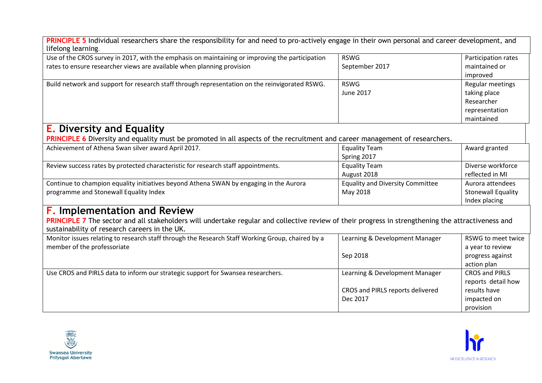| PRINCIPLE 5 Individual researchers share the responsibility for and need to pro-actively engage in their own personal and career development, and                                                   |                                         |                           |
|-----------------------------------------------------------------------------------------------------------------------------------------------------------------------------------------------------|-----------------------------------------|---------------------------|
| lifelong learning.                                                                                                                                                                                  |                                         |                           |
| Use of the CROS survey in 2017, with the emphasis on maintaining or improving the participation                                                                                                     | <b>RSWG</b>                             | Participation rates       |
| rates to ensure researcher views are available when planning provision                                                                                                                              | September 2017                          | maintained or             |
|                                                                                                                                                                                                     |                                         | improved                  |
| Build network and support for research staff through representation on the reinvigorated RSWG.                                                                                                      | <b>RSWG</b>                             | Regular meetings          |
|                                                                                                                                                                                                     | <b>June 2017</b>                        | taking place              |
|                                                                                                                                                                                                     |                                         | Researcher                |
|                                                                                                                                                                                                     |                                         | representation            |
|                                                                                                                                                                                                     |                                         | maintained                |
| <b>E.</b> Diversity and Equality                                                                                                                                                                    |                                         |                           |
| PRINCIPLE 6 Diversity and equality must be promoted in all aspects of the recruitment and career management of researchers.                                                                         |                                         |                           |
| Achievement of Athena Swan silver award April 2017.                                                                                                                                                 | <b>Equality Team</b>                    | Award granted             |
|                                                                                                                                                                                                     | Spring 2017                             |                           |
| Review success rates by protected characteristic for research staff appointments.                                                                                                                   | <b>Equality Team</b>                    | Diverse workforce         |
|                                                                                                                                                                                                     | August 2018                             | reflected in MI           |
| Continue to champion equality initiatives beyond Athena SWAN by engaging in the Aurora                                                                                                              | <b>Equality and Diversity Committee</b> | Aurora attendees          |
| programme and Stonewall Equality Index                                                                                                                                                              | May 2018                                | <b>Stonewall Equality</b> |
|                                                                                                                                                                                                     |                                         | Index placing             |
| <b>F. Implementation and Review</b>                                                                                                                                                                 |                                         |                           |
| PRINCIPLE 7 The sector and all stakeholders will undertake regular and collective review of their progress in strengthening the attractiveness and<br>sustainability of research careers in the UK. |                                         |                           |
| Monitor issues relating to research staff through the Research Staff Working Group, chaired by a                                                                                                    | Learning & Development Manager          | RSWG to meet twice        |
| member of the professoriate                                                                                                                                                                         |                                         | a year to review          |
|                                                                                                                                                                                                     | Sep 2018                                | progress against          |
|                                                                                                                                                                                                     |                                         | action plan               |
| Use CROS and PIRLS data to inform our strategic support for Swansea researchers.                                                                                                                    | Learning & Development Manager          | <b>CROS and PIRLS</b>     |
|                                                                                                                                                                                                     |                                         | reports detail how        |
|                                                                                                                                                                                                     | CROS and PIRLS reports delivered        | results have              |
|                                                                                                                                                                                                     | Dec 2017                                | impacted on               |
|                                                                                                                                                                                                     |                                         | provision                 |